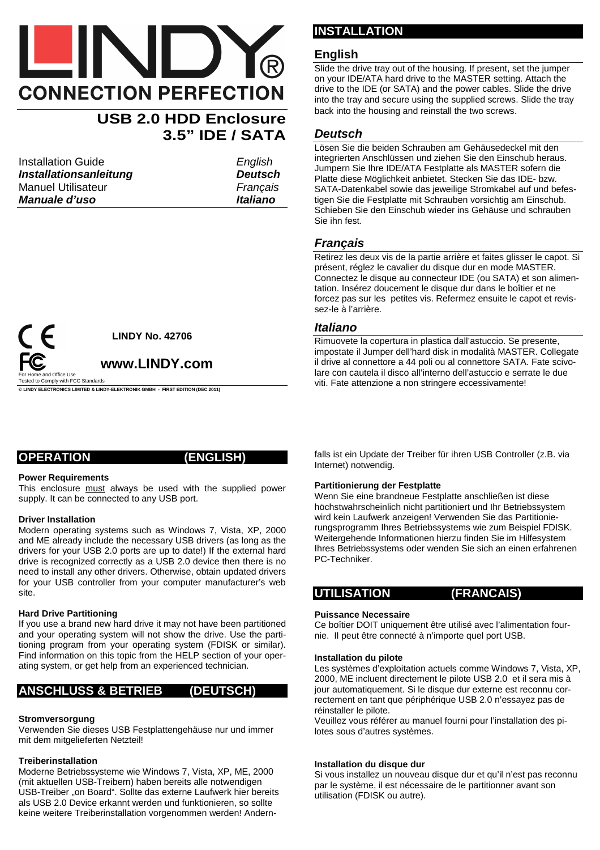# **CONNECTION PERFECTION**

### **USB 2.0 HDD Enclosure 3.5" IDE / SATA**

Installation Guide **English Installationsanleitung Deutsch** Manuel Utilisateur **Francais Manuale d'uso Italiano** 



**© LINDY ELECTRONICS LIMITED & LINDY-ELEKTRONIK GMBH - FIRST EDITION (DEC 2011)** 

#### **OPERATION (ENGLISH)**

#### **Power Requirements**

This enclosure must always be used with the supplied power supply. It can be connected to any USB port.

#### **Driver Installation**

Modern operating systems such as Windows 7, Vista, XP, 2000 and ME already include the necessary USB drivers (as long as the drivers for your USB 2.0 ports are up to date!) If the external hard drive is recognized correctly as a USB 2.0 device then there is no need to install any other drivers. Otherwise, obtain updated drivers for your USB controller from your computer manufacturer's web site.

#### **Hard Drive Partitioning**

If you use a brand new hard drive it may not have been partitioned and your operating system will not show the drive. Use the partitioning program from your operating system (FDISK or similar). Find information on this topic from the HELP section of your operating system, or get help from an experienced technician.

#### **ANSCHLUSS & BETRIEB (DEUTSCH)**

#### **Stromversorgung**

Verwenden Sie dieses USB Festplattengehäuse nur und immer mit dem mitgelieferten Netzteil!

#### **Treiberinstallation**

Moderne Betriebssysteme wie Windows 7, Vista, XP, ME, 2000 (mit aktuellen USB-Treibern) haben bereits alle notwendigen USB-Treiber "on Board". Sollte das externe Laufwerk hier bereits als USB 2.0 Device erkannt werden und funktionieren, so sollte keine weitere Treiberinstallation vorgenommen werden! Andern-

#### **INSTALLATION**

#### **English**

Slide the drive tray out of the housing. If present, set the jumper on your IDE/ATA hard drive to the MASTER setting. Attach the drive to the IDE (or SATA) and the power cables. Slide the drive into the tray and secure using the supplied screws. Slide the tray back into the housing and reinstall the two screws.

#### **Deutsch**

Lösen Sie die beiden Schrauben am Gehäusedeckel mit den integrierten Anschlüssen und ziehen Sie den Einschub heraus. Jumpern Sie Ihre IDE/ATA Festplatte als MASTER sofern die Platte diese Möglichkeit anbietet. Stecken Sie das IDE- bzw. SATA-Datenkabel sowie das jeweilige Stromkabel auf und befestigen Sie die Festplatte mit Schrauben vorsichtig am Einschub. Schieben Sie den Einschub wieder ins Gehäuse und schrauben Sie ihn fest.

#### **Français**

Retirez les deux vis de la partie arrière et faites glisser le capot. Si présent, réglez le cavalier du disque dur en mode MASTER. Connectez le disque au connecteur IDE (ou SATA) et son alimentation. Insérez doucement le disque dur dans le boîtier et ne forcez pas sur les petites vis. Refermez ensuite le capot et revissez-le à l'arrière.

#### **Italiano**

Rimuovete la copertura in plastica dall'astuccio. Se presente, impostate il Jumper dell'hard disk in modalità MASTER. Collegate il drive al connettore a 44 poli ou al connettore SATA. Fate scivolare con cautela il disco all'interno dell'astuccio e serrate le due viti. Fate attenzione a non stringere eccessivamente!

falls ist ein Update der Treiber für ihren USB Controller (z.B. via Internet) notwendig.

#### **Partitionierung der Festplatte**

Wenn Sie eine brandneue Festplatte anschließen ist diese höchstwahrscheinlich nicht partitioniert und Ihr Betriebssystem wird kein Laufwerk anzeigen! Verwenden Sie das Partitionierungsprogramm Ihres Betriebssystems wie zum Beispiel FDISK. Weitergehende Informationen hierzu finden Sie im Hilfesystem Ihres Betriebssystems oder wenden Sie sich an einen erfahrenen PC-Techniker.

#### **UTILISATION (FRANCAIS)**

#### **Puissance Necessaire**

Ce boîtier DOIT uniquement être utilisé avec l'alimentation fournie. Il peut être connecté à n'importe quel port USB.

#### **Installation du pilote**

Les systèmes d'exploitation actuels comme Windows 7, Vista, XP, 2000, ME incluent directement le pilote USB 2.0 et il sera mis à jour automatiquement. Si le disque dur externe est reconnu correctement en tant que périphérique USB 2.0 n'essayez pas de réinstaller le pilote.

Veuillez vous référer au manuel fourni pour l'installation des pilotes sous d'autres systèmes.

#### **Installation du disque dur**

Si vous installez un nouveau disque dur et qu'il n'est pas reconnu par le système, il est nécessaire de le partitionner avant son utilisation (FDISK ou autre).